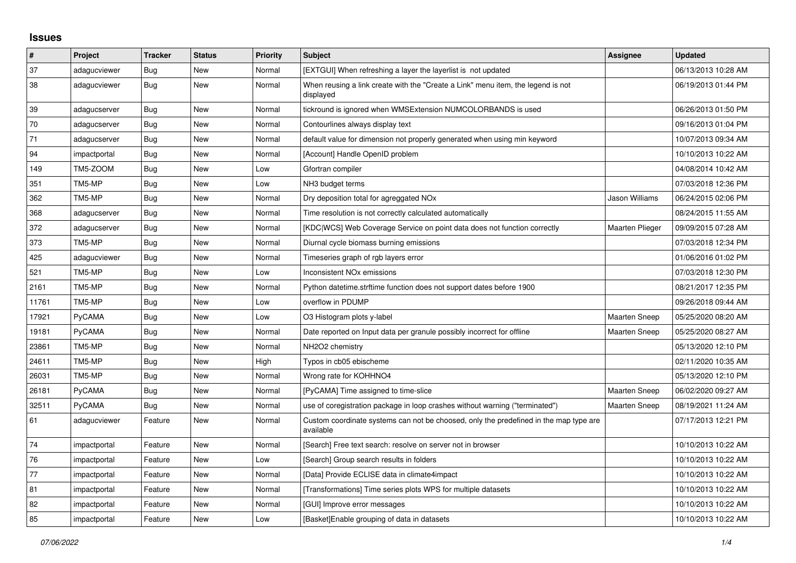## **Issues**

| $\pmb{\#}$ | Project      | <b>Tracker</b> | <b>Status</b> | <b>Priority</b> | <b>Subject</b>                                                                                     | Assignee             | <b>Updated</b>      |
|------------|--------------|----------------|---------------|-----------------|----------------------------------------------------------------------------------------------------|----------------------|---------------------|
| 37         | adagucviewer | <b>Bug</b>     | New           | Normal          | [EXTGUI] When refreshing a layer the layerlist is not updated                                      |                      | 06/13/2013 10:28 AM |
| 38         | adagucviewer | <b>Bug</b>     | <b>New</b>    | Normal          | When reusing a link create with the "Create a Link" menu item, the legend is not<br>displayed      |                      | 06/19/2013 01:44 PM |
| 39         | adagucserver | Bug            | New           | Normal          | tickround is ignored when WMSExtension NUMCOLORBANDS is used                                       |                      | 06/26/2013 01:50 PM |
| 70         | adagucserver | <b>Bug</b>     | New           | Normal          | Contourlines always display text                                                                   |                      | 09/16/2013 01:04 PM |
| 71         | adagucserver | Bug            | New           | Normal          | default value for dimension not properly generated when using min keyword                          |                      | 10/07/2013 09:34 AM |
| 94         | impactportal | Bug            | New           | Normal          | [Account] Handle OpenID problem                                                                    |                      | 10/10/2013 10:22 AM |
| 149        | TM5-ZOOM     | Bug            | New           | Low             | Gfortran compiler                                                                                  |                      | 04/08/2014 10:42 AM |
| 351        | TM5-MP       | Bug            | New           | Low             | NH3 budget terms                                                                                   |                      | 07/03/2018 12:36 PM |
| 362        | TM5-MP       | Bug            | New           | Normal          | Dry deposition total for agreggated NO <sub>x</sub>                                                | Jason Williams       | 06/24/2015 02:06 PM |
| 368        | adagucserver | Bug            | <b>New</b>    | Normal          | Time resolution is not correctly calculated automatically                                          |                      | 08/24/2015 11:55 AM |
| 372        | adagucserver | Bug            | New           | Normal          | [KDC WCS] Web Coverage Service on point data does not function correctly                           | Maarten Plieger      | 09/09/2015 07:28 AM |
| 373        | TM5-MP       | <b>Bug</b>     | <b>New</b>    | Normal          | Diurnal cycle biomass burning emissions                                                            |                      | 07/03/2018 12:34 PM |
| 425        | adagucviewer | Bug            | New           | Normal          | Timeseries graph of rgb layers error                                                               |                      | 01/06/2016 01:02 PM |
| 521        | TM5-MP       | Bug            | New           | Low             | Inconsistent NO <sub>x</sub> emissions                                                             |                      | 07/03/2018 12:30 PM |
| 2161       | TM5-MP       | Bug            | New           | Normal          | Python datetime.strftime function does not support dates before 1900                               |                      | 08/21/2017 12:35 PM |
| 11761      | TM5-MP       | <b>Bug</b>     | New           | Low             | overflow in PDUMP                                                                                  |                      | 09/26/2018 09:44 AM |
| 17921      | PyCAMA       | Bug            | New           | Low             | O3 Histogram plots y-label                                                                         | <b>Maarten Sneep</b> | 05/25/2020 08:20 AM |
| 19181      | PyCAMA       | Bug            | New           | Normal          | Date reported on Input data per granule possibly incorrect for offline                             | <b>Maarten Sneep</b> | 05/25/2020 08:27 AM |
| 23861      | TM5-MP       | <b>Bug</b>     | New           | Normal          | NH2O2 chemistry                                                                                    |                      | 05/13/2020 12:10 PM |
| 24611      | TM5-MP       | Bug            | <b>New</b>    | High            | Typos in cb05 ebischeme                                                                            |                      | 02/11/2020 10:35 AM |
| 26031      | TM5-MP       | Bug            | New           | Normal          | Wrong rate for KOHHNO4                                                                             |                      | 05/13/2020 12:10 PM |
| 26181      | PyCAMA       | <b>Bug</b>     | New           | Normal          | [PyCAMA] Time assigned to time-slice                                                               | <b>Maarten Sneep</b> | 06/02/2020 09:27 AM |
| 32511      | PyCAMA       | <b>Bug</b>     | New           | Normal          | use of coregistration package in loop crashes without warning ("terminated")                       | <b>Maarten Sneep</b> | 08/19/2021 11:24 AM |
| 61         | adagucviewer | Feature        | New           | Normal          | Custom coordinate systems can not be choosed, only the predefined in the map type are<br>available |                      | 07/17/2013 12:21 PM |
| 74         | impactportal | Feature        | <b>New</b>    | Normal          | [Search] Free text search: resolve on server not in browser                                        |                      | 10/10/2013 10:22 AM |
| 76         | impactportal | Feature        | New           | Low             | [Search] Group search results in folders                                                           |                      | 10/10/2013 10:22 AM |
| 77         | impactportal | Feature        | New           | Normal          | [Data] Provide ECLISE data in climate4impact                                                       |                      | 10/10/2013 10:22 AM |
| 81         | impactportal | Feature        | New           | Normal          | [Transformations] Time series plots WPS for multiple datasets                                      |                      | 10/10/2013 10:22 AM |
| 82         | impactportal | Feature        | New           | Normal          | [GUI] Improve error messages                                                                       |                      | 10/10/2013 10:22 AM |
| 85         | impactportal | Feature        | <b>New</b>    | Low             | [Basket] Enable grouping of data in datasets                                                       |                      | 10/10/2013 10:22 AM |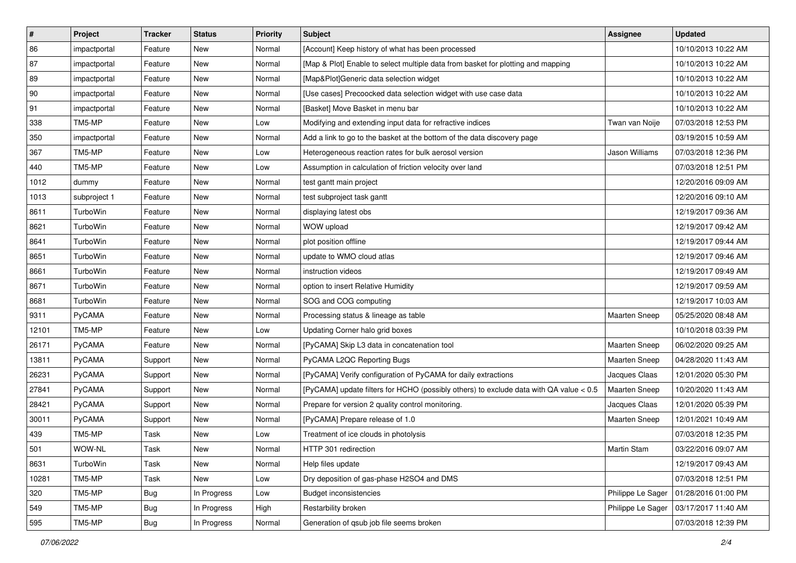| $\sharp$     | Project      | <b>Tracker</b> | <b>Status</b> | <b>Priority</b> | <b>Subject</b>                                                                         | <b>Assignee</b>      | <b>Updated</b>      |
|--------------|--------------|----------------|---------------|-----------------|----------------------------------------------------------------------------------------|----------------------|---------------------|
| 86           | impactportal | Feature        | New           | Normal          | [Account] Keep history of what has been processed                                      |                      | 10/10/2013 10:22 AM |
| 87           | impactportal | Feature        | <b>New</b>    | Normal          | [Map & Plot] Enable to select multiple data from basket for plotting and mapping       |                      | 10/10/2013 10:22 AM |
| 89           | impactportal | Feature        | New           | Normal          | [Map&Plot]Generic data selection widget                                                |                      | 10/10/2013 10:22 AM |
| $ 90\rangle$ | impactportal | Feature        | New           | Normal          | [Use cases] Precoocked data selection widget with use case data                        |                      | 10/10/2013 10:22 AM |
| 91           | impactportal | Feature        | <b>New</b>    | Normal          | [Basket] Move Basket in menu bar                                                       |                      | 10/10/2013 10:22 AM |
| 338          | TM5-MP       | Feature        | New           | Low             | Modifying and extending input data for refractive indices                              | Twan van Noije       | 07/03/2018 12:53 PM |
| 350          | impactportal | Feature        | <b>New</b>    | Normal          | Add a link to go to the basket at the bottom of the data discovery page                |                      | 03/19/2015 10:59 AM |
| 367          | TM5-MP       | Feature        | New           | Low             | Heterogeneous reaction rates for bulk aerosol version                                  | Jason Williams       | 07/03/2018 12:36 PM |
| 440          | TM5-MP       | Feature        | New           | Low             | Assumption in calculation of friction velocity over land                               |                      | 07/03/2018 12:51 PM |
| 1012         | dummy        | Feature        | New           | Normal          | test gantt main project                                                                |                      | 12/20/2016 09:09 AM |
| 1013         | subproject 1 | Feature        | New           | Normal          | test subproject task gantt                                                             |                      | 12/20/2016 09:10 AM |
| 8611         | TurboWin     | Feature        | New           | Normal          | displaying latest obs                                                                  |                      | 12/19/2017 09:36 AM |
| 8621         | TurboWin     | Feature        | New           | Normal          | WOW upload                                                                             |                      | 12/19/2017 09:42 AM |
| 8641         | TurboWin     | Feature        | New           | Normal          | plot position offline                                                                  |                      | 12/19/2017 09:44 AM |
| 8651         | TurboWin     | Feature        | New           | Normal          | update to WMO cloud atlas                                                              |                      | 12/19/2017 09:46 AM |
| 8661         | TurboWin     | Feature        | New           | Normal          | instruction videos                                                                     |                      | 12/19/2017 09:49 AM |
| 8671         | TurboWin     | Feature        | New           | Normal          | option to insert Relative Humidity                                                     |                      | 12/19/2017 09:59 AM |
| 8681         | TurboWin     | Feature        | New           | Normal          | SOG and COG computing                                                                  |                      | 12/19/2017 10:03 AM |
| 9311         | PyCAMA       | Feature        | New           | Normal          | Processing status & lineage as table                                                   | Maarten Sneep        | 05/25/2020 08:48 AM |
| 12101        | TM5-MP       | Feature        | <b>New</b>    | Low             | Updating Corner halo grid boxes                                                        |                      | 10/10/2018 03:39 PM |
| 26171        | PyCAMA       | Feature        | New           | Normal          | [PyCAMA] Skip L3 data in concatenation tool                                            | <b>Maarten Sneep</b> | 06/02/2020 09:25 AM |
| 13811        | PyCAMA       | Support        | New           | Normal          | PyCAMA L2QC Reporting Bugs                                                             | <b>Maarten Sneep</b> | 04/28/2020 11:43 AM |
| 26231        | PyCAMA       | Support        | New           | Normal          | [PyCAMA] Verify configuration of PyCAMA for daily extractions                          | Jacques Claas        | 12/01/2020 05:30 PM |
| 27841        | PyCAMA       | Support        | New           | Normal          | [PyCAMA] update filters for HCHO (possibly others) to exclude data with QA value < 0.5 | <b>Maarten Sneep</b> | 10/20/2020 11:43 AM |
| 28421        | PyCAMA       | Support        | New           | Normal          | Prepare for version 2 quality control monitoring.                                      | Jacques Claas        | 12/01/2020 05:39 PM |
| 30011        | PyCAMA       | Support        | New           | Normal          | [PyCAMA] Prepare release of 1.0                                                        | <b>Maarten Sneep</b> | 12/01/2021 10:49 AM |
| 439          | TM5-MP       | Task           | New           | Low             | Treatment of ice clouds in photolysis                                                  |                      | 07/03/2018 12:35 PM |
| 501          | WOW-NL       | Task           | New           | Normal          | HTTP 301 redirection                                                                   | Martin Stam          | 03/22/2016 09:07 AM |
| 8631         | TurboWin     | Task           | New           | Normal          | Help files update                                                                      |                      | 12/19/2017 09:43 AM |
| 10281        | TM5-MP       | Task           | New           | Low             | Dry deposition of gas-phase H2SO4 and DMS                                              |                      | 07/03/2018 12:51 PM |
| 320          | TM5-MP       | <b>Bug</b>     | In Progress   | Low             | <b>Budget inconsistencies</b>                                                          | Philippe Le Sager    | 01/28/2016 01:00 PM |
| 549          | TM5-MP       | <b>Bug</b>     | In Progress   | High            | Restarbility broken                                                                    | Philippe Le Sager    | 03/17/2017 11:40 AM |
| 595          | TM5-MP       | Bug            | In Progress   | Normal          | Generation of qsub job file seems broken                                               |                      | 07/03/2018 12:39 PM |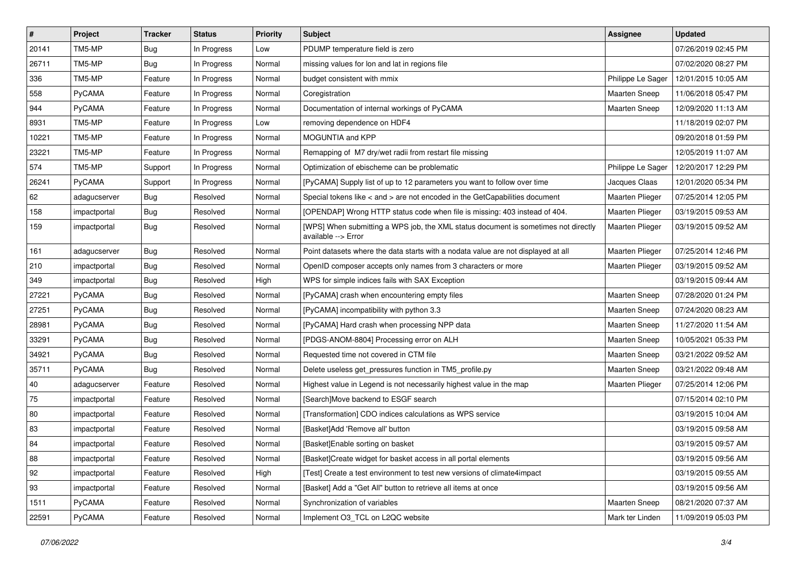| $\vert$ # | Project      | <b>Tracker</b> | <b>Status</b> | <b>Priority</b> | Subject                                                                                                   | <b>Assignee</b>        | <b>Updated</b>      |
|-----------|--------------|----------------|---------------|-----------------|-----------------------------------------------------------------------------------------------------------|------------------------|---------------------|
| 20141     | TM5-MP       | <b>Bug</b>     | In Progress   | Low             | PDUMP temperature field is zero                                                                           |                        | 07/26/2019 02:45 PM |
| 26711     | TM5-MP       | Bug            | In Progress   | Normal          | missing values for lon and lat in regions file                                                            |                        | 07/02/2020 08:27 PM |
| 336       | TM5-MP       | Feature        | In Progress   | Normal          | budget consistent with mmix                                                                               | Philippe Le Sager      | 12/01/2015 10:05 AM |
| 558       | PyCAMA       | Feature        | In Progress   | Normal          | Coregistration                                                                                            | <b>Maarten Sneep</b>   | 11/06/2018 05:47 PM |
| 944       | PyCAMA       | Feature        | In Progress   | Normal          | Documentation of internal workings of PyCAMA                                                              | Maarten Sneep          | 12/09/2020 11:13 AM |
| 8931      | TM5-MP       | Feature        | In Progress   | Low             | removing dependence on HDF4                                                                               |                        | 11/18/2019 02:07 PM |
| 10221     | TM5-MP       | Feature        | In Progress   | Normal          | MOGUNTIA and KPP                                                                                          |                        | 09/20/2018 01:59 PM |
| 23221     | TM5-MP       | Feature        | In Progress   | Normal          | Remapping of M7 dry/wet radii from restart file missing                                                   |                        | 12/05/2019 11:07 AM |
| 574       | TM5-MP       | Support        | In Progress   | Normal          | Optimization of ebischeme can be problematic                                                              | Philippe Le Sager      | 12/20/2017 12:29 PM |
| 26241     | PyCAMA       | Support        | In Progress   | Normal          | [PyCAMA] Supply list of up to 12 parameters you want to follow over time                                  | Jacques Claas          | 12/01/2020 05:34 PM |
| 62        | adagucserver | <b>Bug</b>     | Resolved      | Normal          | Special tokens like < and > are not encoded in the GetCapabilities document                               | Maarten Plieger        | 07/25/2014 12:05 PM |
| 158       | impactportal | Bug            | Resolved      | Normal          | [OPENDAP] Wrong HTTP status code when file is missing: 403 instead of 404.                                | Maarten Plieger        | 03/19/2015 09:53 AM |
| 159       | impactportal | Bug            | Resolved      | Normal          | [WPS] When submitting a WPS job, the XML status document is sometimes not directly<br>available --> Error | Maarten Plieger        | 03/19/2015 09:52 AM |
| 161       | adagucserver | Bug            | Resolved      | Normal          | Point datasets where the data starts with a nodata value are not displayed at all                         | Maarten Plieger        | 07/25/2014 12:46 PM |
| 210       | impactportal | <b>Bug</b>     | Resolved      | Normal          | OpenID composer accepts only names from 3 characters or more                                              | Maarten Plieger        | 03/19/2015 09:52 AM |
| 349       | impactportal | <b>Bug</b>     | Resolved      | High            | WPS for simple indices fails with SAX Exception                                                           |                        | 03/19/2015 09:44 AM |
| 27221     | PyCAMA       | Bug            | Resolved      | Normal          | [PyCAMA] crash when encountering empty files                                                              | Maarten Sneep          | 07/28/2020 01:24 PM |
| 27251     | PyCAMA       | Bug            | Resolved      | Normal          | [PyCAMA] incompatibility with python 3.3                                                                  | Maarten Sneep          | 07/24/2020 08:23 AM |
| 28981     | PyCAMA       | <b>Bug</b>     | Resolved      | Normal          | [PyCAMA] Hard crash when processing NPP data                                                              | Maarten Sneep          | 11/27/2020 11:54 AM |
| 33291     | PyCAMA       | <b>Bug</b>     | Resolved      | Normal          | [PDGS-ANOM-8804] Processing error on ALH                                                                  | Maarten Sneep          | 10/05/2021 05:33 PM |
| 34921     | PyCAMA       | <b>Bug</b>     | Resolved      | Normal          | Requested time not covered in CTM file                                                                    | Maarten Sneep          | 03/21/2022 09:52 AM |
| 35711     | PyCAMA       | Bug            | Resolved      | Normal          | Delete useless get_pressures function in TM5_profile.py                                                   | Maarten Sneep          | 03/21/2022 09:48 AM |
| 40        | adagucserver | Feature        | Resolved      | Normal          | Highest value in Legend is not necessarily highest value in the map                                       | <b>Maarten Plieger</b> | 07/25/2014 12:06 PM |
| 75        | impactportal | Feature        | Resolved      | Normal          | [Search]Move backend to ESGF search                                                                       |                        | 07/15/2014 02:10 PM |
| 80        | impactportal | Feature        | Resolved      | Normal          | [Transformation] CDO indices calculations as WPS service                                                  |                        | 03/19/2015 10:04 AM |
| 83        | impactportal | Feature        | Resolved      | Normal          | [Basket]Add 'Remove all' button                                                                           |                        | 03/19/2015 09:58 AM |
| 84        | impactportal | Feature        | Resolved      | Normal          | [Basket]Enable sorting on basket                                                                          |                        | 03/19/2015 09:57 AM |
| 88        | impactportal | Feature        | Resolved      | Normal          | [Basket]Create widget for basket access in all portal elements                                            |                        | 03/19/2015 09:56 AM |
| 92        | impactportal | Feature        | Resolved      | High            | [Test] Create a test environment to test new versions of climate4impact                                   |                        | 03/19/2015 09:55 AM |
| 93        | impactportal | Feature        | Resolved      | Normal          | [Basket] Add a "Get All" button to retrieve all items at once                                             |                        | 03/19/2015 09:56 AM |
| 1511      | PyCAMA       | Feature        | Resolved      | Normal          | Synchronization of variables                                                                              | Maarten Sneep          | 08/21/2020 07:37 AM |
| 22591     | PyCAMA       | Feature        | Resolved      | Normal          | Implement O3 TCL on L2QC website                                                                          | Mark ter Linden        | 11/09/2019 05:03 PM |